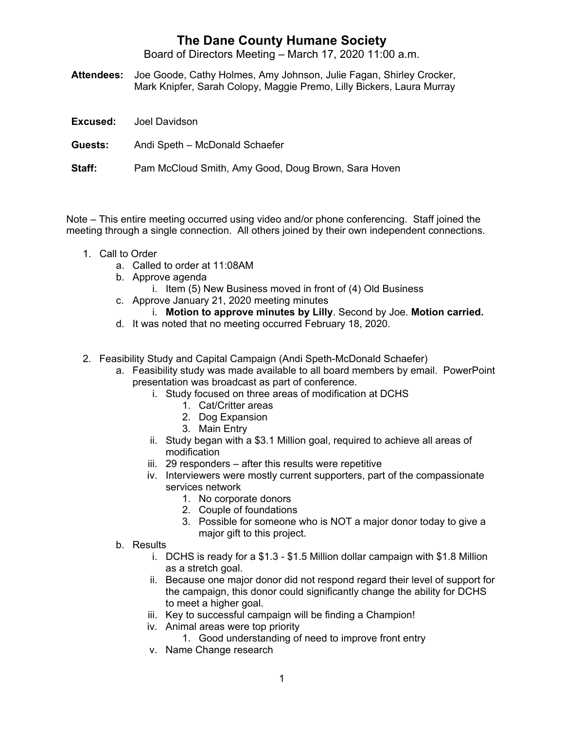## **The Dane County Humane Society**

Board of Directors Meeting – March 17, 2020 11:00 a.m.

**Attendees:** Joe Goode, Cathy Holmes, Amy Johnson, Julie Fagan, Shirley Crocker, Mark Knipfer, Sarah Colopy, Maggie Premo, Lilly Bickers, Laura Murray

|         | <b>Excused:</b> Joel Davidson                       |
|---------|-----------------------------------------------------|
| Guests: | Andi Speth - McDonald Schaefer                      |
| Staff:  | Pam McCloud Smith, Amy Good, Doug Brown, Sara Hoven |

Note – This entire meeting occurred using video and/or phone conferencing. Staff joined the meeting through a single connection. All others joined by their own independent connections.

- 1. Call to Order
	- a. Called to order at 11:08AM
	- b. Approve agenda
		- i. Item (5) New Business moved in front of (4) Old Business
	- c. Approve January 21, 2020 meeting minutes
		- i. **Motion to approve minutes by Lilly**. Second by Joe. **Motion carried.**
	- d. It was noted that no meeting occurred February 18, 2020.
- 2. Feasibility Study and Capital Campaign (Andi Speth-McDonald Schaefer)
	- a. Feasibility study was made available to all board members by email. PowerPoint presentation was broadcast as part of conference.
		- i. Study focused on three areas of modification at DCHS
			- 1. Cat/Critter areas
			- 2. Dog Expansion
			- 3. Main Entry
		- ii. Study began with a \$3.1 Million goal, required to achieve all areas of modification
		- iii. 29 responders after this results were repetitive
		- iv. Interviewers were mostly current supporters, part of the compassionate services network
			- 1. No corporate donors
			- 2. Couple of foundations
			- 3. Possible for someone who is NOT a major donor today to give a major gift to this project.
	- b. Results
		- i. DCHS is ready for a \$1.3 \$1.5 Million dollar campaign with \$1.8 Million as a stretch goal.
		- ii. Because one major donor did not respond regard their level of support for the campaign, this donor could significantly change the ability for DCHS to meet a higher goal.
		- iii. Key to successful campaign will be finding a Champion!
		- iv. Animal areas were top priority
			- 1. Good understanding of need to improve front entry
		- v. Name Change research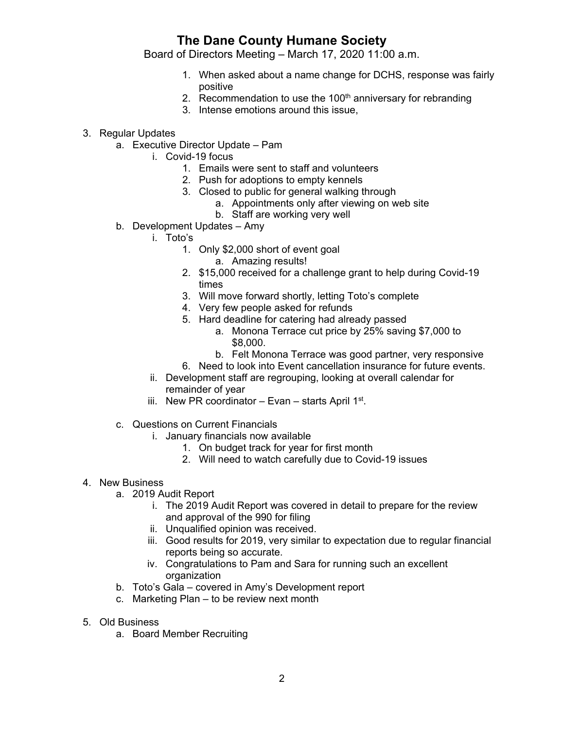## **The Dane County Humane Society**

Board of Directors Meeting – March 17, 2020 11:00 a.m.

- 1. When asked about a name change for DCHS, response was fairly positive
- 2. Recommendation to use the  $100<sup>th</sup>$  anniversary for rebranding
- 3. Intense emotions around this issue,
- 3. Regular Updates
	- a. Executive Director Update Pam
		- i. Covid-19 focus
			- 1. Emails were sent to staff and volunteers
			- 2. Push for adoptions to empty kennels
			- 3. Closed to public for general walking through
				- a. Appointments only after viewing on web site
				- b. Staff are working very well
	- b. Development Updates Amy
		- i. Toto's
			- 1. Only \$2,000 short of event goal
				- a. Amazing results!
			- 2. \$15,000 received for a challenge grant to help during Covid-19 times
			- 3. Will move forward shortly, letting Toto's complete
			- 4. Very few people asked for refunds
			- 5. Hard deadline for catering had already passed
				- a. Monona Terrace cut price by 25% saving \$7,000 to \$8,000.
				- b. Felt Monona Terrace was good partner, very responsive
			- 6. Need to look into Event cancellation insurance for future events.
		- ii. Development staff are regrouping, looking at overall calendar for remainder of year
		- iii. New PR coordinator Evan starts April  $1^{st}$ .
	- c. Questions on Current Financials
		- i. January financials now available
			- 1. On budget track for year for first month
			- 2. Will need to watch carefully due to Covid-19 issues

## 4. New Business

- a. 2019 Audit Report
	- i. The 2019 Audit Report was covered in detail to prepare for the review and approval of the 990 for filing
	- ii. Unqualified opinion was received.
	- iii. Good results for 2019, very similar to expectation due to regular financial reports being so accurate.
	- iv. Congratulations to Pam and Sara for running such an excellent organization
- b. Toto's Gala covered in Amy's Development report
- c. Marketing Plan to be review next month
- 5. Old Business
	- a. Board Member Recruiting